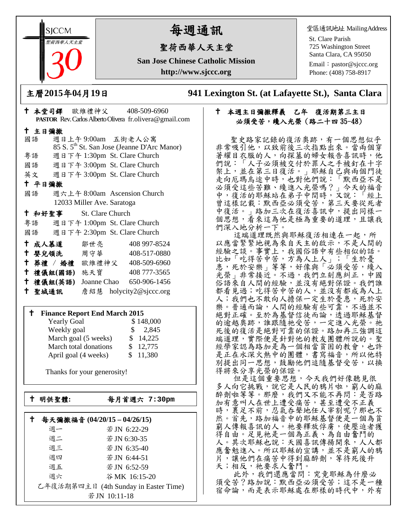**SICCM** 聖荷西華人天主堂 

# 每週通訊

## 聖荷西華人天主堂

**San Jose Chinese Catholic Mission http://www.sjccc.org**

堂區通訊地址 MailingAddress

St. Clare Parish 725 Washington Street Santa Clara, CA 95050

Email: [pastor@sjccc.org](mailto:pastor@sjccc.org) Phone: (408) 758-8917

主曆**2015**年**0**4月**19**日 **941 Lexington St. (at Lafayette St.), Santa Clara** 

### 本週主日彌撒釋義 乙年 復活期第三主日 必須受苦,纔入光榮(路二十四 35-48)

 聖史路家記錄的復活奧跡,有一個思想似乎 非常吸引他,以致前後三次指點出來。當兩個穿 著耀目衣服的人,向探墓的婦女報告喜訊時,他 們說:「人子必須被交付於罪人之手被釘在十字 架上,並在第三日復活。」耶穌自己與兩個門徒 走向厄瑪烏途中時,也對他們說:「默西亞不是 必須受這些苦難、纔進入光榮嗎?」今天的福音 中,復活的耶穌站在弟子中間時,又說:「經上 曾這樣記載:默西亞必須受苦,第三天要從死者 中復活。 | 路加三次在復活喜訊中, 提出同樣一 個思想,看來這為他是極為重要的道理,且讓我 們深入地分析一下。

這端道理既然與耶穌復活相連在一起,所 以應當緊緊地視為來自天主的啟示,不是人間的 經驗之談。事實上,我國俗語中有些相似的話。 比如「吃得苦中苦,方為人上人」;「生於憂 患,死於安樂 | 等等,好像與「必須受苦,纔入 光榮」非常接近。不過,我們立刻應糾正,中國 俗語來自人間的經驗,並沒有絕對保證。我們誰 都看見過;吃得苦中苦的人,並沒有都成為人上 人;我們也不敢向人擔保一定生於憂患,死於安 樂。普通而論,人間的經驗有些可靠,不過並不 絕對正確。至於為基督信徒而論,透過耶穌基督 的逾越奧跡,誰跟隨祂受苦,一定進入光榮。祂 死後的復活是絕對可靠的保證。路加再三強調這 端道理,實際便是針對他的教友團體所說的。聖 經學家認為路加是為一個相當貧困的教會,也許 是正在水深火熱中的團體,書寫福音,所以他特 別提出同一思想,鼓勵他們追隨基督受苦,以換 得將來分享光榮的保證。

 但是這個重要思想,今天我們好像聽見很 多人向它挑戰,說它是人民的鴉片啦,窮人的麻 醉劑啦等等。那麼,我們又不能不再問:是否路 加有意叫人在世上遭受痛苦,甚至遭受不正義 時,裹足不前,忍氣吞聲地任人宰割呢?那也不 然。首先,路加福音中的耶穌基督便是一個為貧 窮人傳報喜訊的人。祂要釋放俘虜,使壓迫者獲 得自由。足見祂是一個為正義、為自由奮鬥的 人。其次耶穌也說:天國喜訊傳揚開來,人人都 應奮勉進入。所以耶穌的宣講,並不是窮人的鴉 片,讓他們在痛苦中得到麻醉劑,等待死後升 天;相反,祂要求人奮鬥。

 此外,我們還應當問:究竟耶穌為什麼必 須受苦?路加說:默西亞必須受苦;這不是一種 宿命論,而是表示耶穌處在那樣的時代中,外有

| PASTOR Rev. Carlos Alberto Olivera fr.olivera@gmail.com |                              |                                                         |  |  |
|---------------------------------------------------------|------------------------------|---------------------------------------------------------|--|--|
| 十 主日彌撒                                                  |                              |                                                         |  |  |
| 國語 週日上午9:00am 五街老人公寓                                    |                              |                                                         |  |  |
|                                                         |                              | 85 S. 5 <sup>th</sup> St. San Jose (Jeanne D'Arc Manor) |  |  |
| 粤語                                                      | 週日下午 1:30pm St. Clare Church |                                                         |  |  |
| 國語 週日下午 3:00pm St. Clare Church                         |                              |                                                         |  |  |
| 英文 週日下午 3:00pm St. Clare Church                         |                              |                                                         |  |  |
| 十 平日彌撒                                                  |                              |                                                         |  |  |
| 國語                                                      | 週六上午 8:00am Ascension Church |                                                         |  |  |
|                                                         | 12033 Miller Ave. Saratoga   |                                                         |  |  |
| <sup>†</sup> 和好聖事 St. Clare Church                      |                              |                                                         |  |  |
| 粤語 週日下午 1:00pm St. Clare Church                         |                              |                                                         |  |  |
| 國語 週日下午 2:30pm St. Clare Church                         |                              |                                                         |  |  |
| † 成人慕道   鄒世亮                                            |                              | 408 997-8524                                            |  |  |
| ← 嬰兒領洗──周守華──                                           |                              | 408-517-0880                                            |  |  |
| † 葬禮 / 婚禮 歐維禮神父 408-509-6960                            |                              |                                                         |  |  |
| 十 禮儀組(國語) 施天寶                                           |                              | 408 777-3565                                            |  |  |
| 十 禮儀組(英語)                                               |                              | Joanne Chao 650-906-1456                                |  |  |
| 十 聖城通訊                                                  |                              | 詹紹慧 holycity2@sjccc.org                                 |  |  |

本堂司鐸 歐維禮神父 408-509-6960

#### **Finance Report End March 2015**

| <b>Yearly Goal</b>    | \$148,000              |
|-----------------------|------------------------|
| Weekly goal           | 2,845<br>$\mathcal{S}$ |
| March goal (5 weeks)  | \$14,225               |
| March total donations | \$12,775               |
| April goal (4 weeks)  | \$11,380               |

Thanks for your generosity!

└<br>├

明供聖體**:** 每月首週六 **7:30pm**

| 每天彌撒福音 (04/20/15-04/26/15) |                                       |  |
|----------------------------|---------------------------------------|--|
| 週一                         | 若JN 6:22-29                           |  |
| 週二                         | 若 JN 6:30-35                          |  |
| 週三                         | 若 JN 6:35-40                          |  |
| 週四                         | 若JN 6:44-51                           |  |
| 週五                         | 若 JN 6:52-59                          |  |
| 週六                         | 谷MK 16:15-20                          |  |
|                            | 乙年復活期第四主日 (4th Sunday in Easter Time) |  |
|                            |                                       |  |

若JN 10:11-18